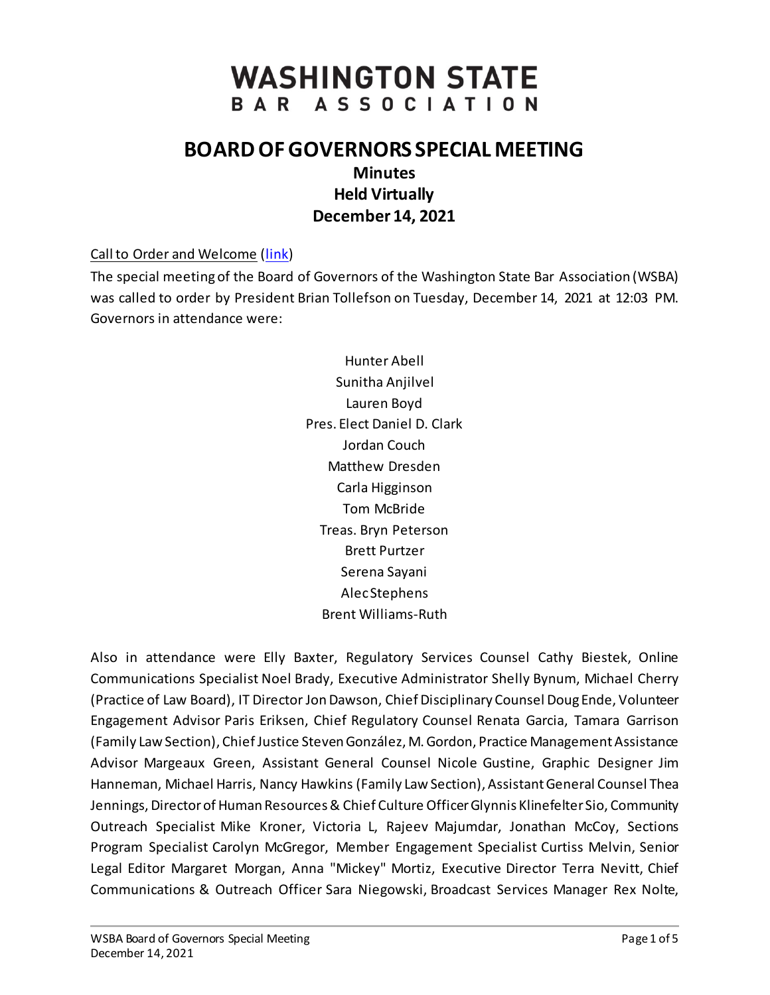# **WASHINGTON STATE** BAR ASSOCIATION

## **BOARD OF GOVERNORS SPECIAL MEETING**

**Minutes Held Virtually December 14, 2021**

Call to Order and Welcome [\(link\)](https://www.youtube.com/watch?v=Arb34v8_khA&list=PLh11oFW23b5hQfFQ-99jU1kEZFh8Kq-34&index=1)

The special meeting of the Board of Governors of the Washington State Bar Association (WSBA) was called to order by President Brian Tollefson on Tuesday, December 14, 2021 at 12:03 PM. Governors in attendance were:

> Hunter Abell Sunitha Anjilvel Lauren Boyd Pres. Elect Daniel D. Clark Jordan Couch Matthew Dresden Carla Higginson Tom McBride Treas. Bryn Peterson Brett Purtzer Serena Sayani Alec Stephens Brent Williams-Ruth

Also in attendance were Elly Baxter, Regulatory Services Counsel Cathy Biestek, Online Communications Specialist Noel Brady, Executive Administrator Shelly Bynum, Michael Cherry (Practice of Law Board), IT Director Jon Dawson, Chief Disciplinary Counsel Doug Ende, Volunteer Engagement Advisor Paris Eriksen, Chief Regulatory Counsel Renata Garcia, Tamara Garrison (Family Law Section), Chief Justice Steven González, M. Gordon, Practice Management Assistance Advisor Margeaux Green, Assistant General Counsel Nicole Gustine, Graphic Designer Jim Hanneman, Michael Harris, Nancy Hawkins (Family Law Section), Assistant General Counsel Thea Jennings, Director of Human Resources & Chief Culture Officer Glynnis Klinefelter Sio, Community Outreach Specialist Mike Kroner, Victoria L, Rajeev Majumdar, Jonathan McCoy, Sections Program Specialist Carolyn McGregor, Member Engagement Specialist Curtiss Melvin, Senior Legal Editor Margaret Morgan, Anna "Mickey" Mortiz, Executive Director Terra Nevitt, Chief Communications & Outreach Officer Sara Niegowski, Broadcast Services Manager Rex Nolte,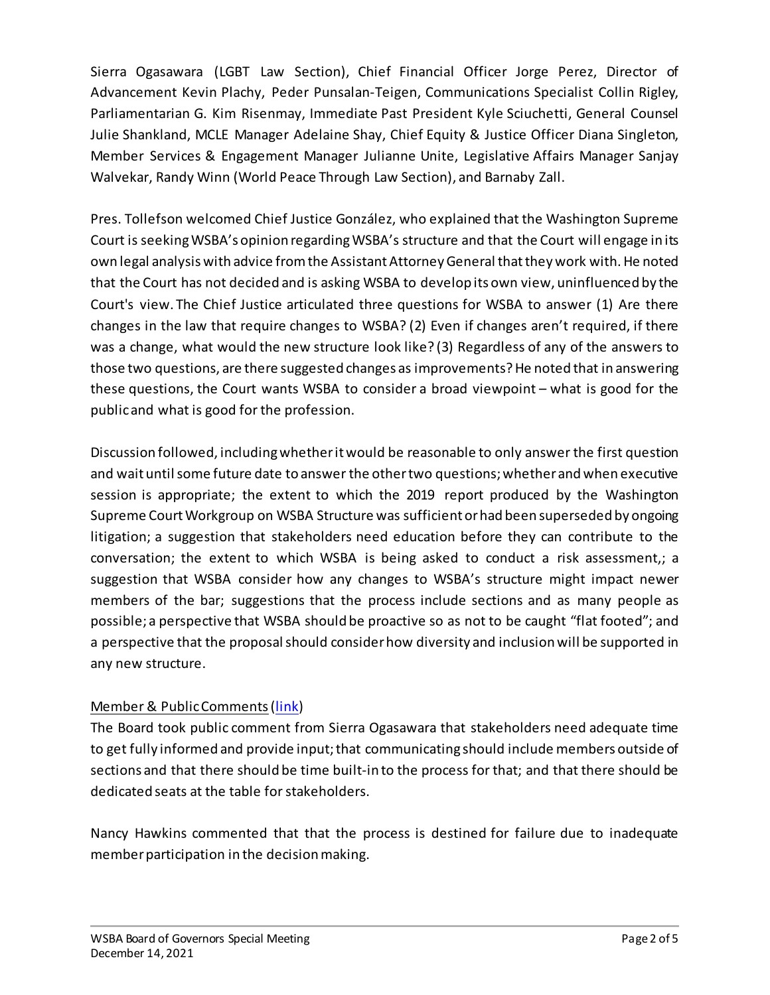Sierra Ogasawara (LGBT Law Section), Chief Financial Officer Jorge Perez, Director of Advancement Kevin Plachy, Peder Punsalan-Teigen, Communications Specialist Collin Rigley, Parliamentarian G. Kim Risenmay, Immediate Past President Kyle Sciuchetti, General Counsel Julie Shankland, MCLE Manager Adelaine Shay, Chief Equity & Justice Officer Diana Singleton, Member Services & Engagement Manager Julianne Unite, Legislative Affairs Manager Sanjay Walvekar, Randy Winn (World Peace Through Law Section), and Barnaby Zall.

Pres. Tollefson welcomed Chief Justice González, who explained that the Washington Supreme Court is seeking WSBA's opinion regarding WSBA's structure and that the Court will engage in its own legal analysis with advice from the Assistant Attorney General that they work with. He noted that the Court has not decided and is asking WSBA to develop its own view, uninfluenced by the Court's view. The Chief Justice articulated three questions for WSBA to answer (1) Are there changes in the law that require changes to WSBA? (2) Even if changes aren't required, if there was a change, what would the new structure look like? (3) Regardless of any of the answers to those two questions, are there suggested changes as improvements? He noted that in answering these questions, the Court wants WSBA to consider a broad viewpoint – what is good for the public and what is good for the profession.

Discussion followed, including whether it would be reasonable to only answer the first question and wait until some future date to answer the other two questions; whether and when executive session is appropriate; the extent to which the 2019 report produced by the Washington Supreme Court Workgroup on WSBA Structure was sufficient or had been superseded by ongoing litigation; a suggestion that stakeholders need education before they can contribute to the conversation; the extent to which WSBA is being asked to conduct a risk assessment,; a suggestion that WSBA consider how any changes to WSBA's structure might impact newer members of the bar; suggestions that the process include sections and as many people as possible; a perspective that WSBA should be proactive so as not to be caught "flat footed"; and a perspective that the proposal should consider how diversity and inclusion will be supported in any new structure.

### Member & Public Comments[\(link\)](https://www.youtube.com/watch?v=95zKJxA23qA&list=PLh11oFW23b5hQfFQ-99jU1kEZFh8Kq-34&index=2)

The Board took public comment from Sierra Ogasawara that stakeholders need adequate time to get fully informed and provide input; that communicating should include members outside of sections and that there should be time built-in to the process for that; and that there should be dedicated seats at the table for stakeholders.

Nancy Hawkins commented that that the process is destined for failure due to inadequate member participation in the decision making.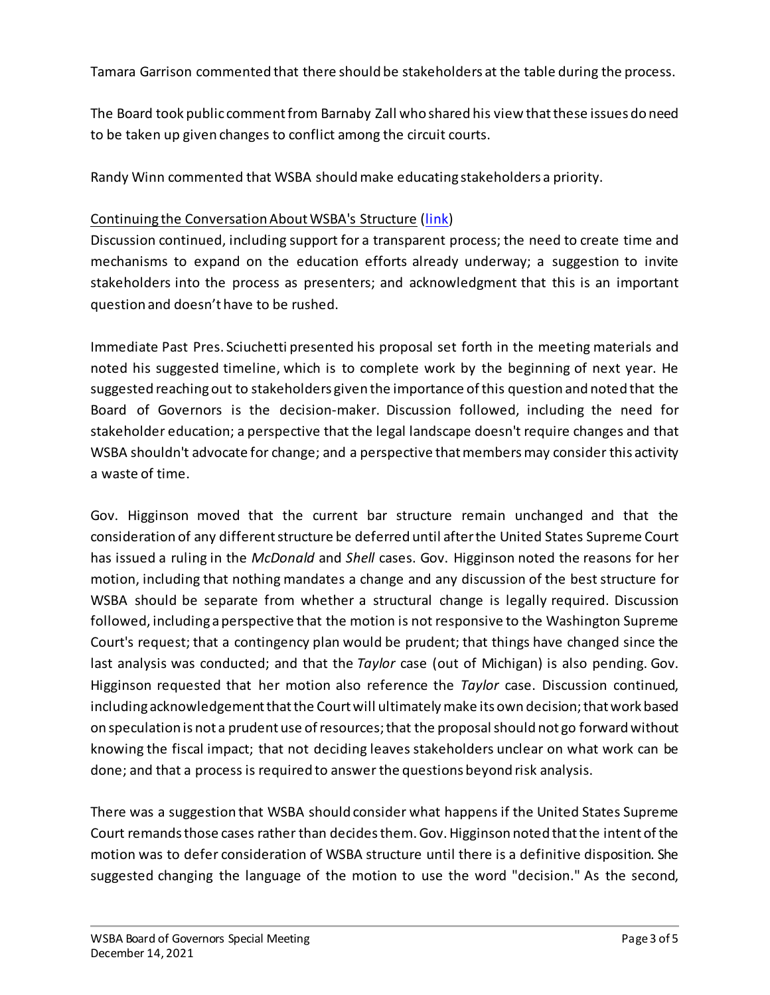Tamara Garrison commented that there should be stakeholders at the table during the process.

The Board took public comment from Barnaby Zall who shared his view that these issues do need to be taken up given changes to conflict among the circuit courts.

Randy Winn commented that WSBA should make educating stakeholders a priority.

#### Continuing the Conversation About WSBA's Structure [\(link\)](https://www.youtube.com/watch?v=mXH6RnXvlr8&list=PLh11oFW23b5hQfFQ-99jU1kEZFh8Kq-34&index=3)

Discussion continued, including support for a transparent process; the need to create time and mechanisms to expand on the education efforts already underway; a suggestion to invite stakeholders into the process as presenters; and acknowledgment that this is an important question and doesn't have to be rushed.

Immediate Past Pres. Sciuchetti presented his proposal set forth in the meeting materials and noted his suggested timeline, which is to complete work by the beginning of next year. He suggested reaching out to stakeholders given the importance of this question and noted that the Board of Governors is the decision-maker. Discussion followed, including the need for stakeholder education; a perspective that the legal landscape doesn't require changes and that WSBA shouldn't advocate for change; and a perspective that members may consider this activity a waste of time.

Gov. Higginson moved that the current bar structure remain unchanged and that the consideration of any different structure be deferred until after the United States Supreme Court has issued a ruling in the *McDonald* and *Shell* cases. Gov. Higginson noted the reasons for her motion, including that nothing mandates a change and any discussion of the best structure for WSBA should be separate from whether a structural change is legally required. Discussion followed, including a perspective that the motion is not responsive to the Washington Supreme Court's request; that a contingency plan would be prudent; that things have changed since the last analysis was conducted; and that the *Taylor* case (out of Michigan) is also pending. Gov. Higginson requested that her motion also reference the *Taylor* case. Discussion continued, including acknowledgement that the Court will ultimately make its own decision; that work based on speculation is not a prudent use of resources; that the proposal should not go forward without knowing the fiscal impact; that not deciding leaves stakeholders unclear on what work can be done; and that a process is required to answer the questions beyond risk analysis.

There was a suggestion that WSBA should consider what happens if the United States Supreme Court remands those cases rather than decides them.Gov. Higginson noted that the intentof the motion was to defer consideration of WSBA structure until there is a definitive disposition. She suggested changing the language of the motion to use the word "decision." As the second,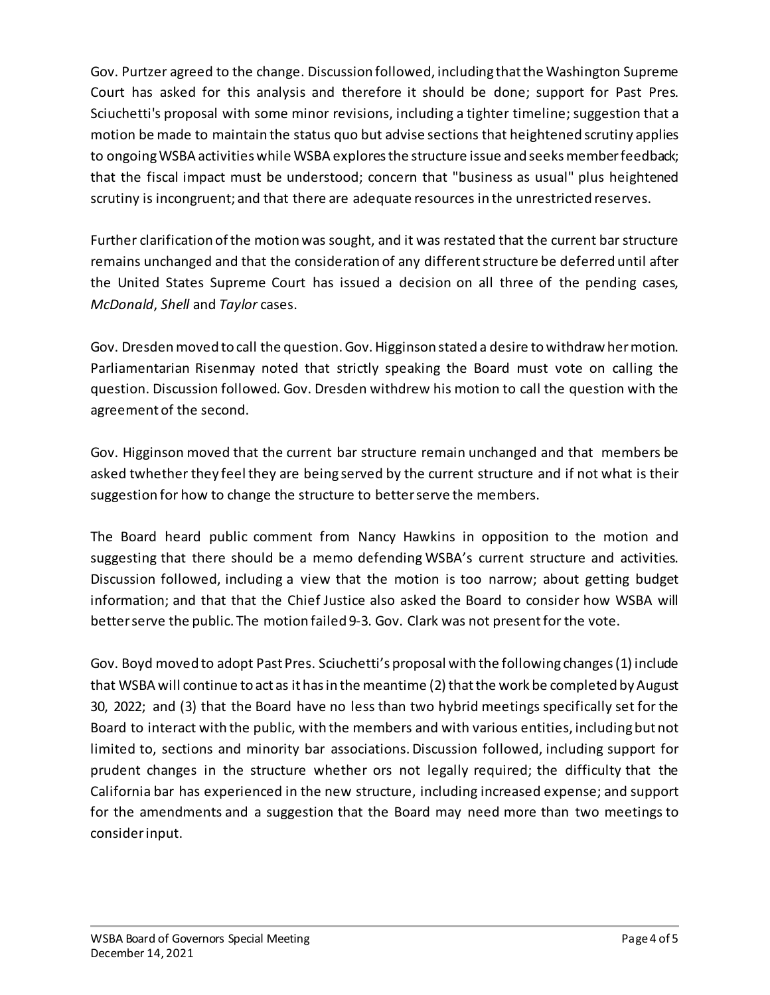Gov. Purtzer agreed to the change. Discussion followed, including that the Washington Supreme Court has asked for this analysis and therefore it should be done; support for Past Pres. Sciuchetti's proposal with some minor revisions, including a tighter timeline; suggestion that a motion be made to maintain the status quo but advise sections that heightened scrutiny applies to ongoing WSBA activities while WSBA explores the structure issue and seeks memberfeedback; that the fiscal impact must be understood; concern that "business as usual" plus heightened scrutiny is incongruent; and that there are adequate resources in the unrestricted reserves.

Further clarification of the motion was sought, and it was restated that the current bar structure remains unchanged and that the consideration of any different structure be deferred until after the United States Supreme Court has issued a decision on all three of the pending cases, *McDonald*, *Shell* and *Taylor* cases.

Gov. Dresden moved to call the question. Gov. Higginson stated a desire to withdraw her motion. Parliamentarian Risenmay noted that strictly speaking the Board must vote on calling the question. Discussion followed. Gov. Dresden withdrew his motion to call the question with the agreement of the second.

Gov. Higginson moved that the current bar structure remain unchanged and that members be asked twhether they feel they are being served by the current structure and if not what is their suggestion for how to change the structure to better serve the members.

The Board heard public comment from Nancy Hawkins in opposition to the motion and suggesting that there should be a memo defending WSBA's current structure and activities. Discussion followed, including a view that the motion is too narrow; about getting budget information; and that that the Chief Justice also asked the Board to consider how WSBA will better serve the public. The motion failed 9-3. Gov. Clark was not present for the vote.

Gov. Boyd moved to adopt Past Pres. Sciuchetti's proposal with the following changes (1) include that WSBA will continue to act as it has in the meantime (2) that the work be completed by August 30, 2022; and (3) that the Board have no less than two hybrid meetings specifically set for the Board to interact with the public, with the members and with various entities, including but not limited to, sections and minority bar associations. Discussion followed, including support for prudent changes in the structure whether ors not legally required; the difficulty that the California bar has experienced in the new structure, including increased expense; and support for the amendments and a suggestion that the Board may need more than two meetings to consider input.